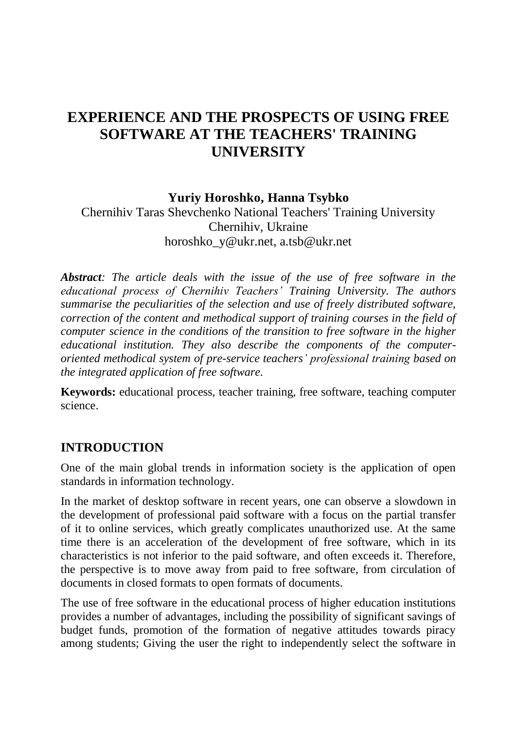# **EXPERIENCE AND THE PROSPECTS OF USING FREE SOFTWARE AT THE TEACHERS' TRAINING UNIVERSITY**

**Yuriy Horoshko, Hanna Tsybko**

Chernihiv Taras Shevchenko National Teachers' Training University Chernihiv, Ukraine horoshko\_y@ukr.net, a.tsb@ukr.net

*Abstract: The article deals with the issue of the use of free software in the educational process of Chernihiv Teachers' Training University. The authors summarise the peculiarities of the selection and use of freely distributed software, correction of the content and methodical support of training courses in the field of computer science in the conditions of the transition to free software in the higher educational institution. They also describe the components of the computeroriented methodical system of pre-service teachers' professional training based on the integrated application of free software.*

**Keywords:** educational process, teacher training, free software, teaching computer science.

## **INTRODUCTION**

One of the main global trends in information society is the application of open standards in information technology.

In the market of desktop software in recent years, one can observe a slowdown in the development of professional paid software with a focus on the partial transfer of it to online services, which greatly complicates unauthorized use. At the same time there is an acceleration of the development of free software, which in its characteristics is not inferior to the paid software, and often exceeds it. Therefore, the perspective is to move away from paid to free software, from circulation of documents in closed formats to open formats of documents.

The use of free software in the educational process of higher education institutions provides a number of advantages, including the possibility of significant savings of budget funds, promotion of the formation of negative attitudes towards piracy among students; Giving the user the right to independently select the software in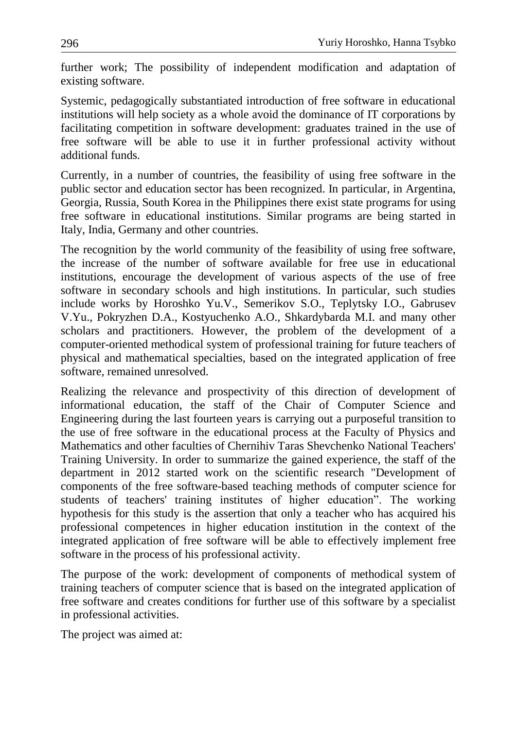further work; The possibility of independent modification and adaptation of existing software.

Systemic, pedagogically substantiated introduction of free software in educational institutions will help society as a whole avoid the dominance of IT corporations by facilitating competition in software development: graduates trained in the use of free software will be able to use it in further professional activity without additional funds.

Currently, in a number of countries, the feasibility of using free software in the public sector and education sector has been recognized. In particular, in Argentina, Georgia, Russia, South Korea in the Philippines there exist state programs for using free software in educational institutions. Similar programs are being started in Italy, India, Germany and other countries.

The recognition by the world community of the feasibility of using free software, the increase of the number of software available for free use in educational institutions, encourage the development of various aspects of the use of free software in secondary schools and high institutions. In particular, such studies include works by Horoshko Yu.V., Semerikov S.O., Teplytsky I.O., Gabrusev V.Yu., Pokryzhen D.A., Kostyuchenko A.O., Shkardybarda M.I. and many other scholars and practitioners. However, the problem of the development of a computer-oriented methodical system of professional training for future teachers of physical and mathematical specialties, based on the integrated application of free software, remained unresolved.

Realizing the relevance and prospectivity of this direction of development of informational education, the staff of the Chair of Computer Science and Engineering during the last fourteen years is carrying out a purposeful transition to the use of free software in the educational process at the Faculty of Physics and Mathematics and other faculties of Chernihiv Taras Shevchenko National Teachers' Training University. In order to summarize the gained experience, the staff of the department in 2012 started work on the scientific research "Development of components of the free software-based teaching methods of computer science for students of teachers' training institutes of higher education". The working hypothesis for this study is the assertion that only a teacher who has acquired his professional competences in higher education institution in the context of the integrated application of free software will be able to effectively implement free software in the process of his professional activity.

The purpose of the work: development of components of methodical system of training teachers of computer science that is based on the integrated application of free software and creates conditions for further use of this software by a specialist in professional activities.

The project was aimed at: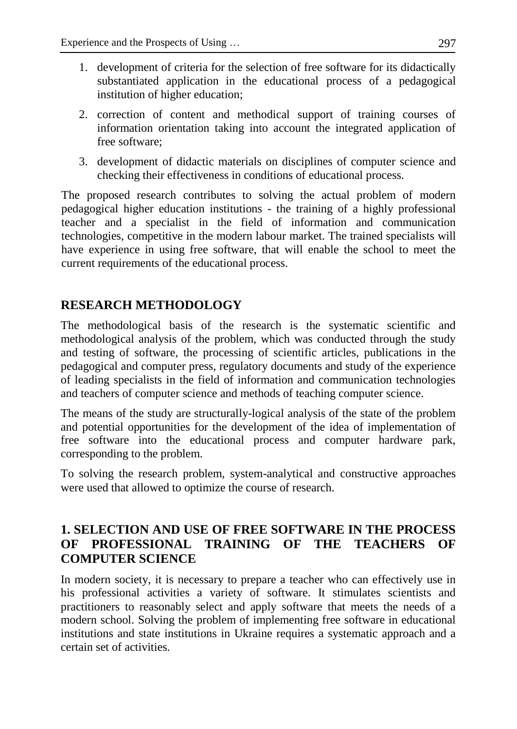- 1. development of criteria for the selection of free software for its didactically substantiated application in the educational process of a pedagogical institution of higher education;
- 2. correction of content and methodical support of training courses of information orientation taking into account the integrated application of free software;
- 3. development of didactic materials on disciplines of computer science and checking their effectiveness in conditions of educational process.

The proposed research contributes to solving the actual problem of modern pedagogical higher education institutions - the training of a highly professional teacher and a specialist in the field of information and communication technologies, competitive in the modern labour market. The trained specialists will have experience in using free software, that will enable the school to meet the current requirements of the educational process.

## **RESEARCH METHODOLOGY**

The methodological basis of the research is the systematic scientific and methodological analysis of the problem, which was conducted through the study and testing of software, the processing of scientific articles, publications in the pedagogical and computer press, regulatory documents and study of the experience of leading specialists in the field of information and communication technologies and teachers of computer science and methods of teaching computer science.

The means of the study are structurally-logical analysis of the state of the problem and potential opportunities for the development of the idea of implementation of free software into the educational process and computer hardware park, corresponding to the problem.

To solving the research problem, system-analytical and constructive approaches were used that allowed to optimize the course of research.

## **1. SELECTION AND USE OF FREE SOFTWARE IN THE PROCESS OF PROFESSIONAL TRAINING OF THE TEACHERS OF COMPUTER SCIENCE**

In modern society, it is necessary to prepare a teacher who can effectively use in his professional activities a variety of software. It stimulates scientists and practitioners to reasonably select and apply software that meets the needs of a modern school. Solving the problem of implementing free software in educational institutions and state institutions in Ukraine requires a systematic approach and a certain set of activities.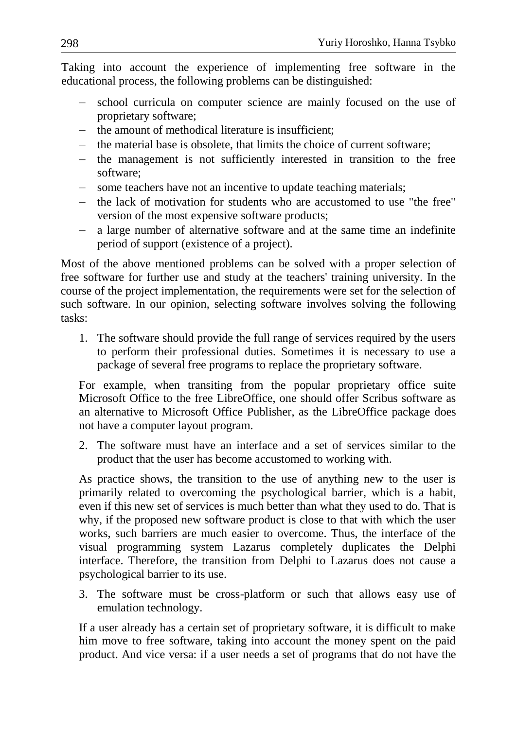Taking into account the experience of implementing free software in the educational process, the following problems can be distinguished:

- school curricula on computer science are mainly focused on the use of proprietary software;
- the amount of methodical literature is insufficient;
- the material base is obsolete, that limits the choice of current software;
- the management is not sufficiently interested in transition to the free software;
- some teachers have not an incentive to update teaching materials;
- the lack of motivation for students who are accustomed to use "the free" version of the most expensive software products;
- a large number of alternative software and at the same time an indefinite period of support (existence of a project).

Most of the above mentioned problems can be solved with a proper selection of free software for further use and study at the teachers' training university. In the course of the project implementation, the requirements were set for the selection of such software. In our opinion, selecting software involves solving the following tasks:

1. The software should provide the full range of services required by the users to perform their professional duties. Sometimes it is necessary to use a package of several free programs to replace the proprietary software.

For example, when transiting from the popular proprietary office suite Microsoft Office to the free LibreOffice, one should offer Scribus software as an alternative to Microsoft Office Publisher, as the LibreOffice package does not have a computer layout program.

2. The software must have an interface and a set of services similar to the product that the user has become accustomed to working with.

As practice shows, the transition to the use of anything new to the user is primarily related to overcoming the psychological barrier, which is a habit, even if this new set of services is much better than what they used to do. That is why, if the proposed new software product is close to that with which the user works, such barriers are much easier to overcome. Thus, the interface of the visual programming system Lazarus completely duplicates the Delphi interface. Therefore, the transition from Delphi to Lazarus does not cause a psychological barrier to its use.

3. The software must be cross-platform or such that allows easy use of emulation technology.

If a user already has a certain set of proprietary software, it is difficult to make him move to free software, taking into account the money spent on the paid product. And vice versa: if a user needs a set of programs that do not have the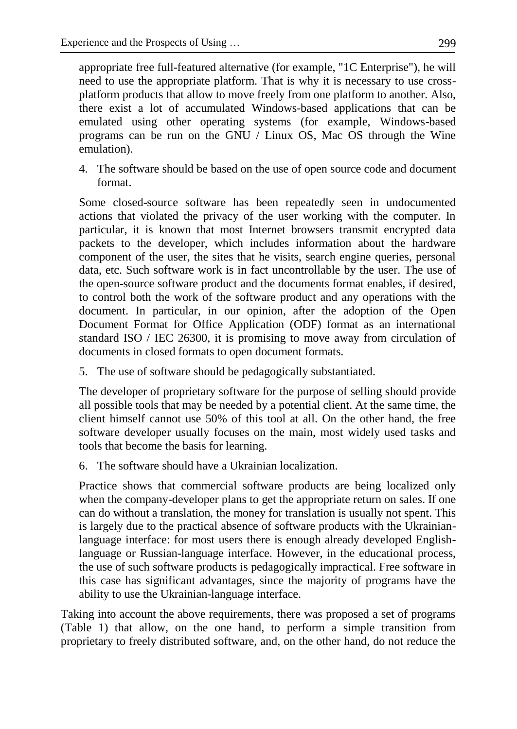appropriate free full-featured alternative (for example, "1C Enterprise"), he will need to use the appropriate platform. That is why it is necessary to use crossplatform products that allow to move freely from one platform to another. Also, there exist a lot of accumulated Windows-based applications that can be emulated using other operating systems (for example, Windows-based programs can be run on the GNU / Linux OS, Mac OS through the Wine emulation).

4. The software should be based on the use of open source code and document format.

Some closed-source software has been repeatedly seen in undocumented actions that violated the privacy of the user working with the computer. In particular, it is known that most Internet browsers transmit encrypted data packets to the developer, which includes information about the hardware component of the user, the sites that he visits, search engine queries, personal data, etc. Such software work is in fact uncontrollable by the user. The use of the open-source software product and the documents format enables, if desired, to control both the work of the software product and any operations with the document. In particular, in our opinion, after the adoption of the Open Document Format for Office Application (ODF) format as an international standard ISO / IEC 26300, it is promising to move away from circulation of documents in closed formats to open document formats.

5. The use of software should be pedagogically substantiated.

The developer of proprietary software for the purpose of selling should provide all possible tools that may be needed by a potential client. At the same time, the client himself cannot use 50% of this tool at all. On the other hand, the free software developer usually focuses on the main, most widely used tasks and tools that become the basis for learning.

6. The software should have a Ukrainian localization.

Practice shows that commercial software products are being localized only when the company-developer plans to get the appropriate return on sales. If one can do without a translation, the money for translation is usually not spent. This is largely due to the practical absence of software products with the Ukrainianlanguage interface: for most users there is enough already developed Englishlanguage or Russian-language interface. However, in the educational process, the use of such software products is pedagogically impractical. Free software in this case has significant advantages, since the majority of programs have the ability to use the Ukrainian-language interface.

Taking into account the above requirements, there was proposed a set of programs (Table 1) that allow, on the one hand, to perform a simple transition from proprietary to freely distributed software, and, on the other hand, do not reduce the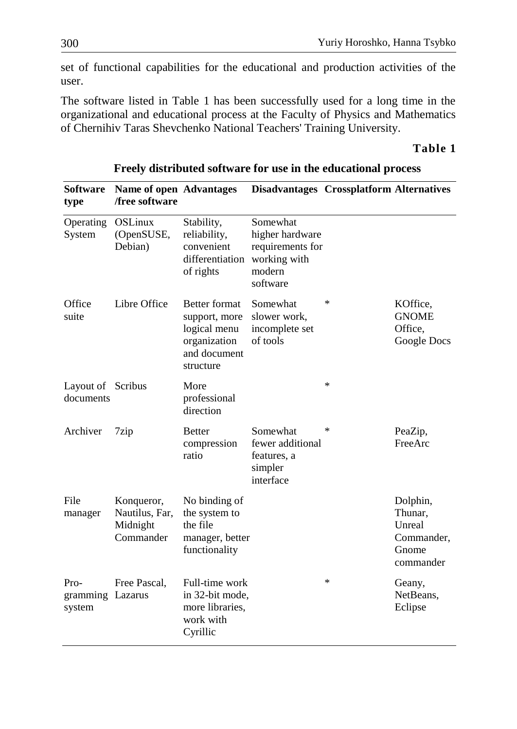set of functional capabilities for the educational and production activities of the user.

The software listed in Table 1 has been successfully used for a long time in the organizational and educational process at the Faculty of Physics and Mathematics of Chernihiv Taras Shevchenko National Teachers' Training University.

#### **Table 1**

| <b>Software</b><br>type            | <b>Name of open Advantages</b><br>/free software      |                                                                                                    | <b>Disadvantages Crossplatform Alternatives</b>                                       |        |                                                                   |
|------------------------------------|-------------------------------------------------------|----------------------------------------------------------------------------------------------------|---------------------------------------------------------------------------------------|--------|-------------------------------------------------------------------|
| Operating<br>System                | OSLinux<br>(OpenSUSE,<br>Debian)                      | Stability,<br>reliability,<br>convenient<br>differentiation<br>of rights                           | Somewhat<br>higher hardware<br>requirements for<br>working with<br>modern<br>software |        |                                                                   |
| Office<br>suite                    | Libre Office                                          | <b>Better format</b><br>support, more<br>logical menu<br>organization<br>and document<br>structure | Somewhat<br>slower work,<br>incomplete set<br>of tools                                | *      | KOffice,<br><b>GNOME</b><br>Office,<br>Google Docs                |
| Layout of Scribus<br>documents     |                                                       | More<br>professional<br>direction                                                                  |                                                                                       | *      |                                                                   |
| Archiver                           | 7zip                                                  | <b>Better</b><br>compression<br>ratio                                                              | Somewhat<br>fewer additional<br>features, a<br>simpler<br>interface                   | ∗      | PeaZip,<br>FreeArc                                                |
| File<br>manager                    | Konqueror,<br>Nautilus, Far,<br>Midnight<br>Commander | No binding of<br>the system to<br>the file<br>manager, better<br>functionality                     |                                                                                       |        | Dolphin,<br>Thunar,<br>Unreal<br>Commander,<br>Gnome<br>commander |
| Pro-<br>gramming Lazarus<br>system | Free Pascal,                                          | Full-time work<br>in 32-bit mode,<br>more libraries,<br>work with<br>Cyrillic                      |                                                                                       | $\ast$ | Geany,<br>NetBeans,<br>Eclipse                                    |

#### **Freely distributed software for use in the educational process**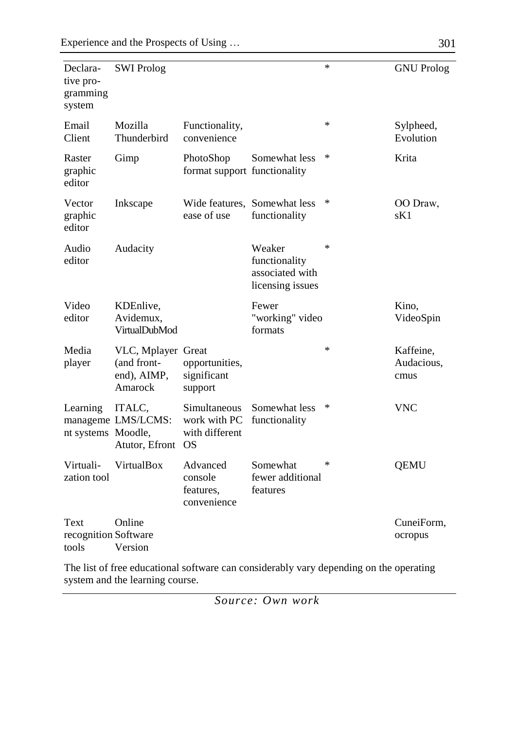| Declara-<br>tive pro-<br>gramming<br>system | <b>SWI Prolog</b>                                           |                                                             |                                                                | $\ast$ | <b>GNU Prolog</b>               |
|---------------------------------------------|-------------------------------------------------------------|-------------------------------------------------------------|----------------------------------------------------------------|--------|---------------------------------|
| Email<br>Client                             | Mozilla<br>Thunderbird                                      | Functionality,<br>convenience                               |                                                                | *      | Sylpheed,<br>Evolution          |
| Raster<br>graphic<br>editor                 | Gimp                                                        | PhotoShop<br>format support functionality                   | Somewhat less                                                  | *      | Krita                           |
| Vector<br>graphic<br>editor                 | Inkscape                                                    | ease of use                                                 | Wide features, Somewhat less<br>functionality                  | ∗      | OO Draw,<br>sK1                 |
| Audio<br>editor                             | Audacity                                                    |                                                             | Weaker<br>functionality<br>associated with<br>licensing issues | $\ast$ |                                 |
| Video<br>editor                             | KDEnlive,<br>Avidemux,<br><b>VirtualDubMod</b>              |                                                             | Fewer<br>"working" video<br>formats                            |        | Kino,<br>VideoSpin              |
| Media<br>player                             | VLC, Mplayer Great<br>(and front-<br>end), AIMP,<br>Amarock | opportunities,<br>significant<br>support                    |                                                                | $\ast$ | Kaffeine,<br>Audacious,<br>cmus |
| Learning<br>nt systems Moodle,              | ITALC,<br>manageme LMS/LCMS:<br>Atutor, Efront              | Simultaneous<br>work with PC<br>with different<br><b>OS</b> | Somewhat less<br>functionality                                 | $\ast$ | <b>VNC</b>                      |
| Virtuali-<br>zation tool                    | VirtualBox                                                  | Advanced<br>console<br>features.<br>convenience             | Somewhat<br>fewer additional<br>features                       | *      | <b>QEMU</b>                     |
| Text<br>recognition Software<br>tools       | Online<br>Version                                           |                                                             |                                                                |        | CuneiForm,<br>ocropus           |

The list of free educational software can considerably vary depending on the operating system and the learning course.

*Source: Own work*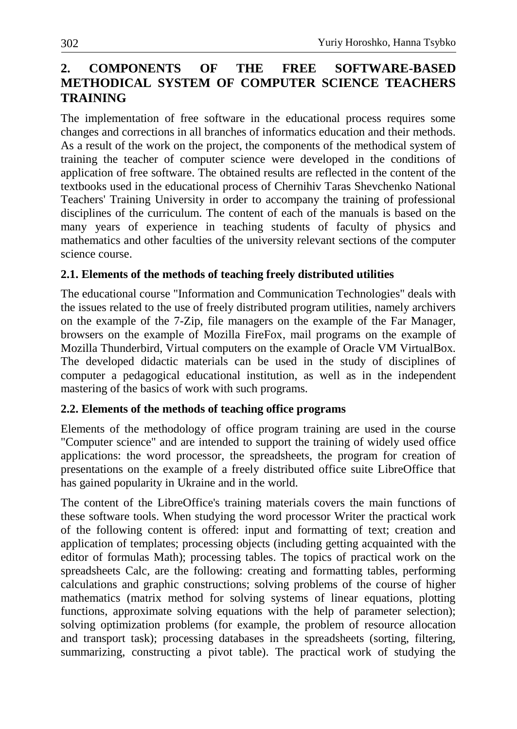## **2. COMPONENTS OF THE FREE SOFTWARE-BASED METHODICAL SYSTEM OF COMPUTER SCIENCE TEACHERS TRAINING**

The implementation of free software in the educational process requires some changes and corrections in all branches of informatics education and their methods. As a result of the work on the project, the components of the methodical system of training the teacher of computer science were developed in the conditions of application of free software. The obtained results are reflected in the content of the textbooks used in the educational process of Chernihiv Taras Shevchenko National Teachers' Training University in order to accompany the training of professional disciplines of the curriculum. The content of each of the manuals is based on the many years of experience in teaching students of faculty of physics and mathematics and other faculties of the university relevant sections of the computer science course.

#### **2.1. Elements of the methods of teaching freely distributed utilities**

The educational course "Information and Communication Technologies" deals with the issues related to the use of freely distributed program utilities, namely archivers on the example of the 7-Zip, file managers on the example of the Far Manager, browsers on the example of Mozilla FireFox, mail programs on the example of Mozilla Thunderbird, Virtual computers on the example of Oracle VM VirtualBox. The developed didactic materials can be used in the study of disciplines of computer a pedagogical educational institution, as well as in the independent mastering of the basics of work with such programs.

#### **2.2. Elements of the methods of teaching office programs**

Elements of the methodology of office program training are used in the course "Computer science" and are intended to support the training of widely used office applications: the word processor, the spreadsheets, the program for creation of presentations on the example of a freely distributed office suite LibreOffice that has gained popularity in Ukraine and in the world.

The content of the LibreOffice's training materials covers the main functions of these software tools. When studying the word processor Writer the practical work of the following content is offered: input and formatting of text; creation and application of templates; processing objects (including getting acquainted with the editor of formulas Math); processing tables. The topics of practical work on the spreadsheets Calc, are the following: creating and formatting tables, performing calculations and graphic constructions; solving problems of the course of higher mathematics (matrix method for solving systems of linear equations, plotting functions, approximate solving equations with the help of parameter selection); solving optimization problems (for example, the problem of resource allocation and transport task); processing databases in the spreadsheets (sorting, filtering, summarizing, constructing a pivot table). The practical work of studying the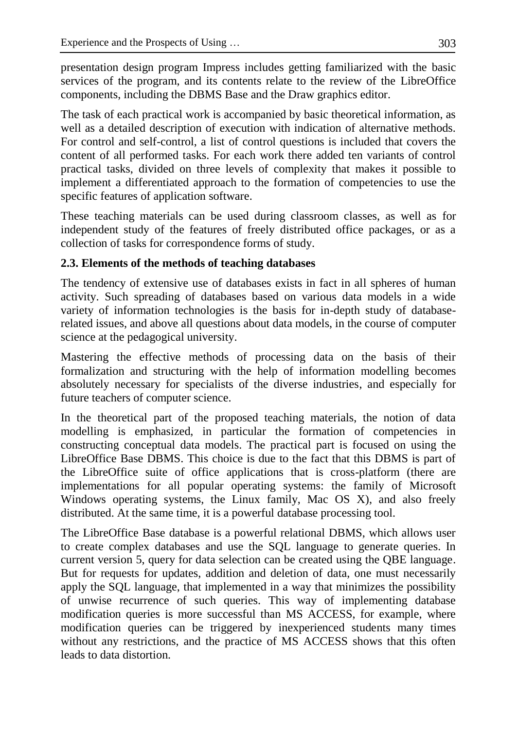presentation design program Impress includes getting familiarized with the basic services of the program, and its contents relate to the review of the LibreOffice components, including the DBMS Base and the Draw graphics editor.

The task of each practical work is accompanied by basic theoretical information, as well as a detailed description of execution with indication of alternative methods. For control and self-control, a list of control questions is included that covers the content of all performed tasks. For each work there added ten variants of control practical tasks, divided on three levels of complexity that makes it possible to implement a differentiated approach to the formation of competencies to use the specific features of application software.

These teaching materials can be used during classroom classes, as well as for independent study of the features of freely distributed office packages, or as a collection of tasks for correspondence forms of study.

## **2.3. Elements of the methods of teaching databases**

The tendency of extensive use of databases exists in fact in all spheres of human activity. Such spreading of databases based on various data models in a wide variety of information technologies is the basis for in-depth study of databaserelated issues, and above all questions about data models, in the course of computer science at the pedagogical university.

Mastering the effective methods of processing data on the basis of their formalization and structuring with the help of information modelling becomes absolutely necessary for specialists of the diverse industries, and especially for future teachers of computer science.

In the theoretical part of the proposed teaching materials, the notion of data modelling is emphasized, in particular the formation of competencies in constructing conceptual data models. The practical part is focused on using the LibreOffice Base DBMS. This choice is due to the fact that this DBMS is part of the LibreOffice suite of office applications that is cross-platform (there are implementations for all popular operating systems: the family of Microsoft Windows operating systems, the Linux family, Mac OS X), and also freely distributed. At the same time, it is a powerful database processing tool.

The LibreOffice Base database is a powerful relational DBMS, which allows user to create complex databases and use the SQL language to generate queries. In current version 5, query for data selection can be created using the QBE language. But for requests for updates, addition and deletion of data, one must necessarily apply the SQL language, that implemented in a way that minimizes the possibility of unwise recurrence of such queries. This way of implementing database modification queries is more successful than MS ACCESS, for example, where modification queries can be triggered by inexperienced students many times without any restrictions, and the practice of MS ACCESS shows that this often leads to data distortion.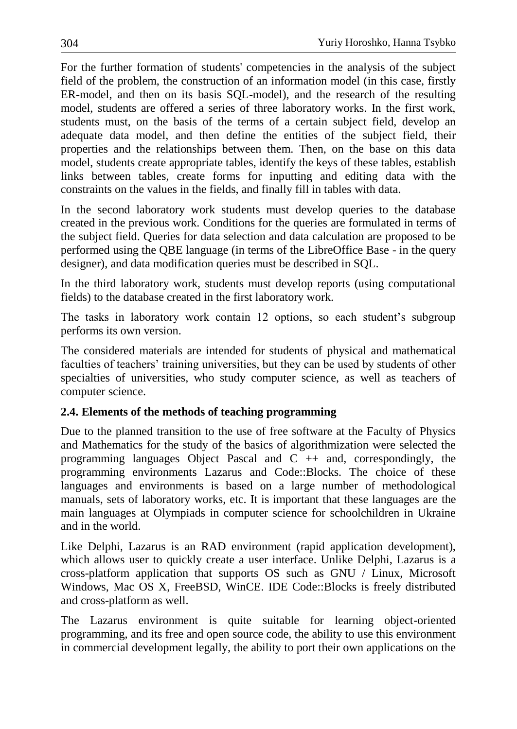For the further formation of students' competencies in the analysis of the subject field of the problem, the construction of an information model (in this case, firstly ER-model, and then on its basis SQL-model), and the research of the resulting model, students are offered a series of three laboratory works. In the first work, students must, on the basis of the terms of a certain subject field, develop an adequate data model, and then define the entities of the subject field, their properties and the relationships between them. Then, on the base on this data model, students create appropriate tables, identify the keys of these tables, establish links between tables, create forms for inputting and editing data with the constraints on the values in the fields, and finally fill in tables with data.

In the second laboratory work students must develop queries to the database created in the previous work. Conditions for the queries are formulated in terms of the subject field. Queries for data selection and data calculation are proposed to be performed using the QBE language (in terms of the LibreOffice Base - in the query designer), and data modification queries must be described in SQL.

In the third laboratory work, students must develop reports (using computational fields) to the database created in the first laboratory work.

The tasks in laboratory work contain 12 options, so each student's subgroup performs its own version.

The considered materials are intended for students of physical and mathematical faculties of teachers' training universities, but they can be used by students of other specialties of universities, who study computer science, as well as teachers of computer science.

## **2.4. Elements of the methods of teaching programming**

Due to the planned transition to the use of free software at the Faculty of Physics and Mathematics for the study of the basics of algorithmization were selected the programming languages Object Pascal and  $C +$  and, correspondingly, the programming environments Lazarus and Code::Blocks. The choice of these languages and environments is based on a large number of methodological manuals, sets of laboratory works, etc. It is important that these languages are the main languages at Olympiads in computer science for schoolchildren in Ukraine and in the world.

Like Delphi, Lazarus is an RAD environment (rapid application development), which allows user to quickly create a user interface. Unlike Delphi, Lazarus is a cross-platform application that supports OS such as GNU / Linux, Microsoft Windows, Mac OS X, FreeBSD, WinCE. IDE Code::Blocks is freely distributed and cross-platform as well.

The Lazarus environment is quite suitable for learning object-oriented programming, and its free and open source code, the ability to use this environment in commercial development legally, the ability to port their own applications on the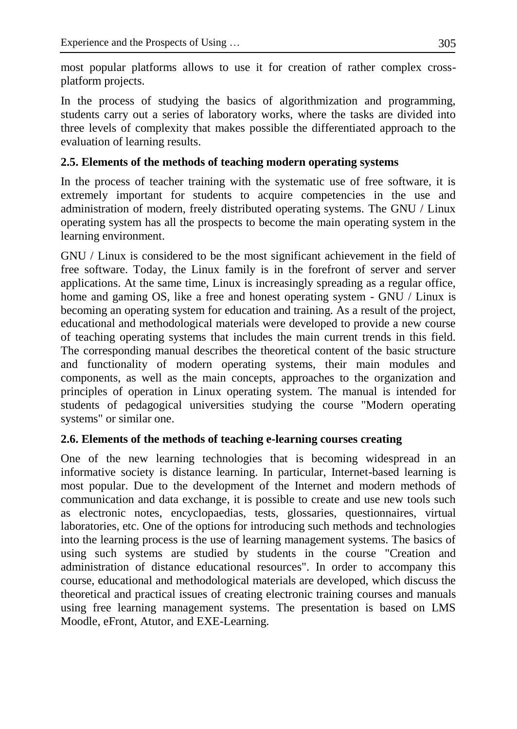most popular platforms allows to use it for creation of rather complex crossplatform projects.

In the process of studying the basics of algorithmization and programming, students carry out a series of laboratory works, where the tasks are divided into three levels of complexity that makes possible the differentiated approach to the evaluation of learning results.

#### **2.5. Elements of the methods of teaching modern operating systems**

In the process of teacher training with the systematic use of free software, it is extremely important for students to acquire competencies in the use and administration of modern, freely distributed operating systems. The GNU / Linux operating system has all the prospects to become the main operating system in the learning environment.

GNU / Linux is considered to be the most significant achievement in the field of free software. Today, the Linux family is in the forefront of server and server applications. At the same time, Linux is increasingly spreading as a regular office, home and gaming OS, like a free and honest operating system - GNU / Linux is becoming an operating system for education and training. As a result of the project, educational and methodological materials were developed to provide a new course of teaching operating systems that includes the main current trends in this field. The corresponding manual describes the theoretical content of the basic structure and functionality of modern operating systems, their main modules and components, as well as the main concepts, approaches to the organization and principles of operation in Linux operating system. The manual is intended for students of pedagogical universities studying the course "Modern operating systems" or similar one.

## **2.6. Elements of the methods of teaching e-learning courses creating**

One of the new learning technologies that is becoming widespread in an informative society is distance learning. In particular, Internet-based learning is most popular. Due to the development of the Internet and modern methods of communication and data exchange, it is possible to create and use new tools such as electronic notes, encyclopaedias, tests, glossaries, questionnaires, virtual laboratories, etc. One of the options for introducing such methods and technologies into the learning process is the use of learning management systems. The basics of using such systems are studied by students in the course "Creation and administration of distance educational resources". In order to accompany this course, educational and methodological materials are developed, which discuss the theoretical and practical issues of creating electronic training courses and manuals using free learning management systems. The presentation is based on LMS Moodle, eFront, Atutor, and EXE-Learning.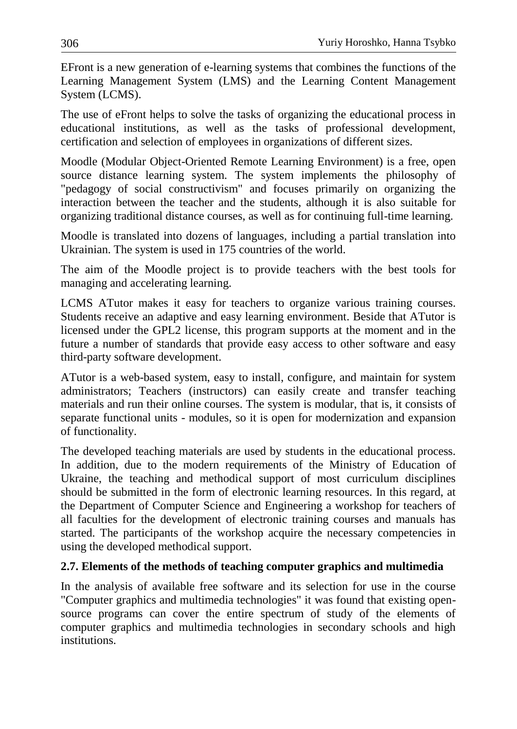EFront is a new generation of e-learning systems that combines the functions of the Learning Management System (LMS) and the Learning Content Management System (LCMS).

The use of eFront helps to solve the tasks of organizing the educational process in educational institutions, as well as the tasks of professional development, certification and selection of employees in organizations of different sizes.

Moodle (Modular Object-Oriented Remote Learning Environment) is a free, open source distance learning system. The system implements the philosophy of "pedagogy of social constructivism" and focuses primarily on organizing the interaction between the teacher and the students, although it is also suitable for organizing traditional distance courses, as well as for continuing full-time learning.

Moodle is translated into dozens of languages, including a partial translation into Ukrainian. The system is used in 175 countries of the world.

The aim of the Moodle project is to provide teachers with the best tools for managing and accelerating learning.

LCMS ATutor makes it easy for teachers to organize various training courses. Students receive an adaptive and easy learning environment. Beside that ATutor is licensed under the GPL2 license, this program supports at the moment and in the future a number of standards that provide easy access to other software and easy third-party software development.

ATutor is a web-based system, easy to install, configure, and maintain for system administrators; Teachers (instructors) can easily create and transfer teaching materials and run their online courses. The system is modular, that is, it consists of separate functional units - modules, so it is open for modernization and expansion of functionality.

The developed teaching materials are used by students in the educational process. In addition, due to the modern requirements of the Ministry of Education of Ukraine, the teaching and methodical support of most curriculum disciplines should be submitted in the form of electronic learning resources. In this regard, at the Department of Computer Science and Engineering a workshop for teachers of all faculties for the development of electronic training courses and manuals has started. The participants of the workshop acquire the necessary competencies in using the developed methodical support.

## **2.7. Elements of the methods of teaching computer graphics and multimedia**

In the analysis of available free software and its selection for use in the course "Computer graphics and multimedia technologies" it was found that existing opensource programs can cover the entire spectrum of study of the elements of computer graphics and multimedia technologies in secondary schools and high institutions.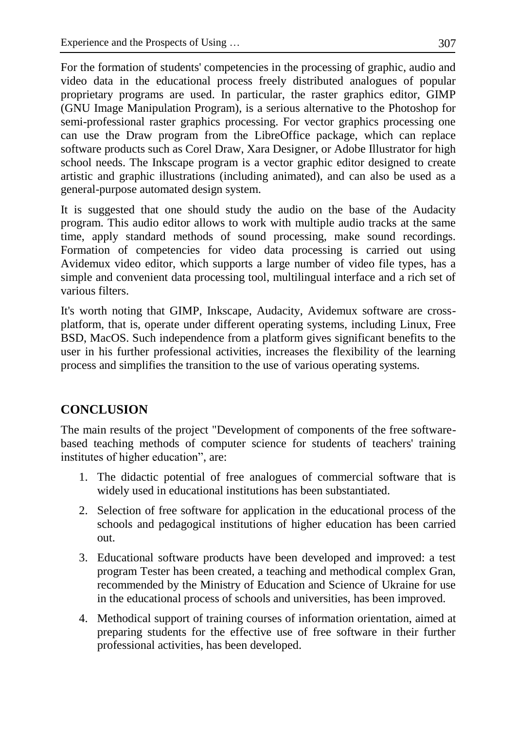For the formation of students' competencies in the processing of graphic, audio and video data in the educational process freely distributed analogues of popular proprietary programs are used. In particular, the raster graphics editor, GIMP (GNU Image Manipulation Program), is a serious alternative to the Photoshop for semi-professional raster graphics processing. For vector graphics processing one can use the Draw program from the LibreOffice package, which can replace software products such as Corel Draw, Xara Designer, or Adobe Illustrator for high school needs. The Inkscape program is a vector graphic editor designed to create artistic and graphic illustrations (including animated), and can also be used as a general-purpose automated design system.

It is suggested that one should study the audio on the base of the Audacity program. This audio editor allows to work with multiple audio tracks at the same time, apply standard methods of sound processing, make sound recordings. Formation of competencies for video data processing is carried out using Avidemux video editor, which supports a large number of video file types, has a simple and convenient data processing tool, multilingual interface and a rich set of various filters.

It's worth noting that GIMP, Inkscape, Audacity, Avidemux software are crossplatform, that is, operate under different operating systems, including Linux, Free BSD, MacOS. Such independence from a platform gives significant benefits to the user in his further professional activities, increases the flexibility of the learning process and simplifies the transition to the use of various operating systems.

## **CONCLUSION**

The main results of the project "Development of components of the free softwarebased teaching methods of computer science for students of teachers' training institutes of higher education", are:

- 1. The didactic potential of free analogues of commercial software that is widely used in educational institutions has been substantiated.
- 2. Selection of free software for application in the educational process of the schools and pedagogical institutions of higher education has been carried out.
- 3. Educational software products have been developed and improved: a test program Tester has been created, a teaching and methodical complex Gran, recommended by the Ministry of Education and Science of Ukraine for use in the educational process of schools and universities, has been improved.
- 4. Methodical support of training courses of information orientation, aimed at preparing students for the effective use of free software in their further professional activities, has been developed.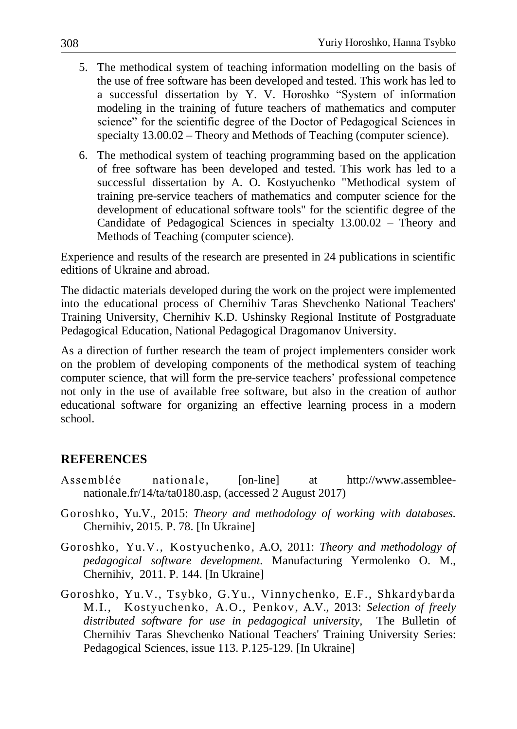- 5. The methodical system of teaching information modelling on the basis of the use of free software has been developed and tested. This work has led to a successful dissertation by Y. V. Horoshko "System of information modeling in the training of future teachers of mathematics and computer science" for the scientific degree of the Doctor of Pedagogical Sciences in specialty 13.00.02 – Theory and Methods of Teaching (computer science).
- 6. The methodical system of teaching programming based on the application of free software has been developed and tested. This work has led to a successful dissertation by A. O. Kostyuchenko "Methodical system of training pre-service teachers of mathematics and computer science for the development of educational software tools" for the scientific degree of the Candidate of Pedagogical Sciences in specialty 13.00.02 – Theory and Methods of Teaching (computer science).

Experience and results of the research are presented in 24 publications in scientific editions of Ukraine and abroad.

The didactic materials developed during the work on the project were implemented into the educational process of Chernihiv Taras Shevchenko National Teachers' Training University, Chernihiv K.D. Ushinsky Regional Institute of Postgraduate Pedagogical Education, National Pedagogical Dragomanov University.

As a direction of further research the team of project implementers consider work on the problem of developing components of the methodical system of teaching computer science, that will form the pre-service teachers' professional competence not only in the use of available free software, but also in the creation of author educational software for organizing an effective learning process in a modern school.

## **REFERENCES**

- Assemblée nationale, [on-line] at http://www.assembleenationale.fr/14/ta/ta0180.asp, (accessed 2 August 2017)
- Goroshko, Yu.V., 2015: *Theory and methodology of working with databases.* Chernihiv, 2015. P. 78. [In Ukraine]
- Goroshko, Yu.V., Kostyuchenko, A.O, 2011: *Theory and methodology of pedagogical software development.* Manufacturing Yermolenko O. M., Chernihiv, 2011. P. 144. [In Ukraine]
- Goroshko, Yu.V., Tsybko, G.Yu., Vinnychenko, E.F., Shkardybarda M.I., Kostyuchenko, A.O., Penkov, A.V., 2013: *Selection of freely distributed software for use in pedagogical university,* The Bulletin of Chernihiv Taras Shevchenko National Teachers' Training University Series: Pedagogical Sciences, issue 113. P.125-129. [In Ukraine]